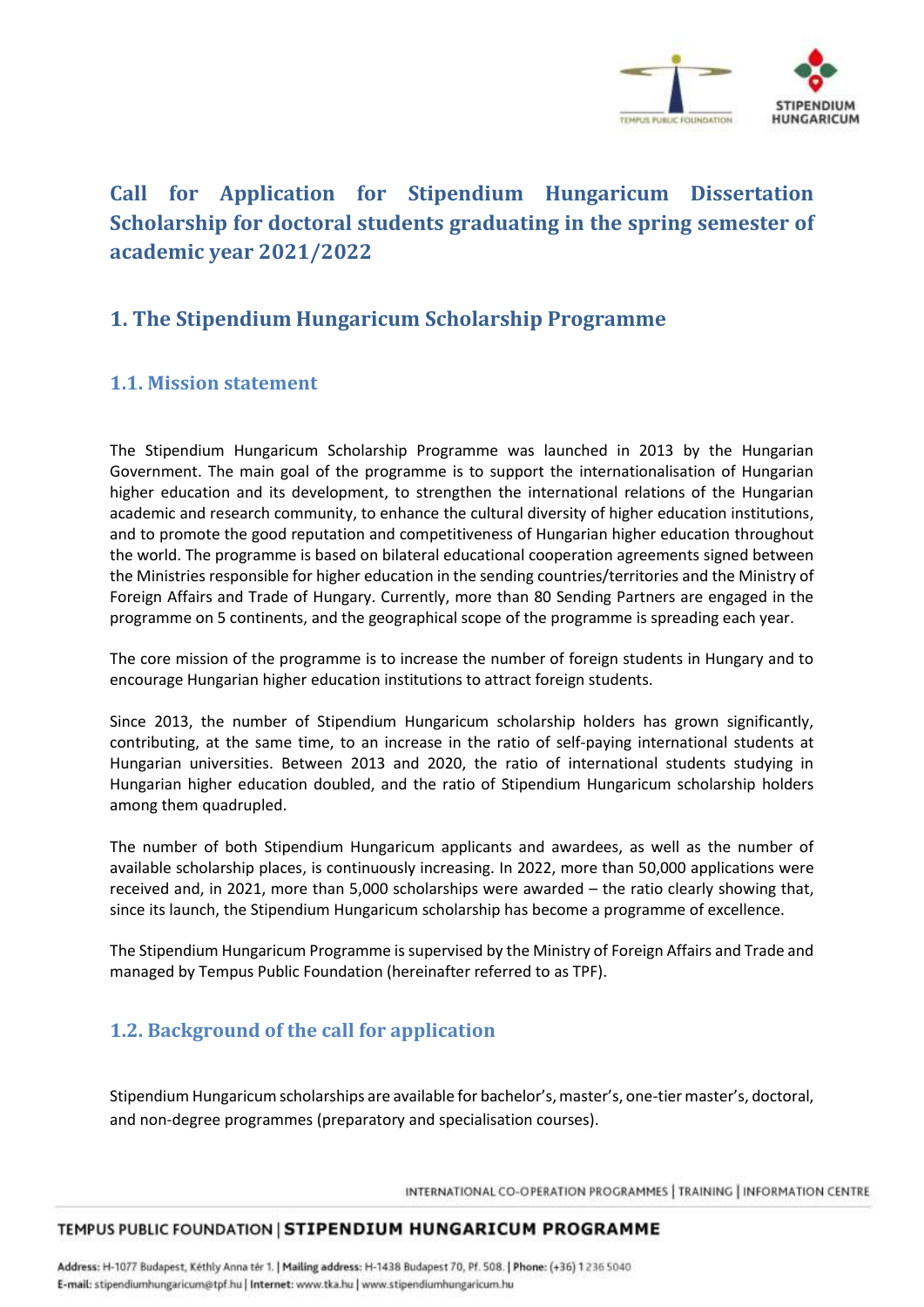

# **Call for Application for Stipendium Hungaricum Dissertation Scholarship for doctoral students graduating in the spring semester of academic year 2021/2022**

# **1. The Stipendium Hungaricum Scholarship Programme**

### **1.1. Mission statement**

The Stipendium Hungaricum Scholarship Programme was launched in 2013 by the Hungarian Government. The main goal of the programme is to support the internationalisation of Hungarian higher education and its development, to strengthen the international relations of the Hungarian academic and research community, to enhance the cultural diversity of higher education institutions, and to promote the good reputation and competitiveness of Hungarian higher education throughout the world. The programme is based on bilateral educational cooperation agreements signed between the Ministries responsible for higher education in the sending countries/territories and the Ministry of Foreign Affairs and Trade of Hungary. Currently, more than 80 Sending Partners are engaged in the programme on 5 continents, and the geographical scope of the programme is spreading each year.

The core mission of the programme is to increase the number of foreign students in Hungary and to encourage Hungarian higher education institutions to attract foreign students.

Since 2013, the number of Stipendium Hungaricum scholarship holders has grown significantly, contributing, at the same time, to an increase in the ratio of self-paying international students at Hungarian universities. Between 2013 and 2020, the ratio of international students studying in Hungarian higher education doubled, and the ratio of Stipendium Hungaricum scholarship holders among them quadrupled.

The number of both Stipendium Hungaricum applicants and awardees, as well as the number of available scholarship places, is continuously increasing. In 2022, more than 50,000 applications were received and, in 2021, more than 5,000 scholarships were awarded – the ratio clearly showing that, since its launch, the Stipendium Hungaricum scholarship has become a programme of excellence.

The Stipendium Hungaricum Programme is supervised by the Ministry of Foreign Affairs and Trade and managed by Tempus Public Foundation (hereinafter referred to as TPF).

## **1.2. Background of the call for application**

Stipendium Hungaricum scholarships are available for bachelor's, master's, one-tier master's, doctoral, and non-degree programmes (preparatory and specialisation courses).

INTERNATIONAL CO-OPERATION PROGRAMMES | TRAINING | INFORMATION CENTRE

#### TEMPUS PUBLIC FOUNDATION | STIPENDIUM HUNGARICUM PROGRAMME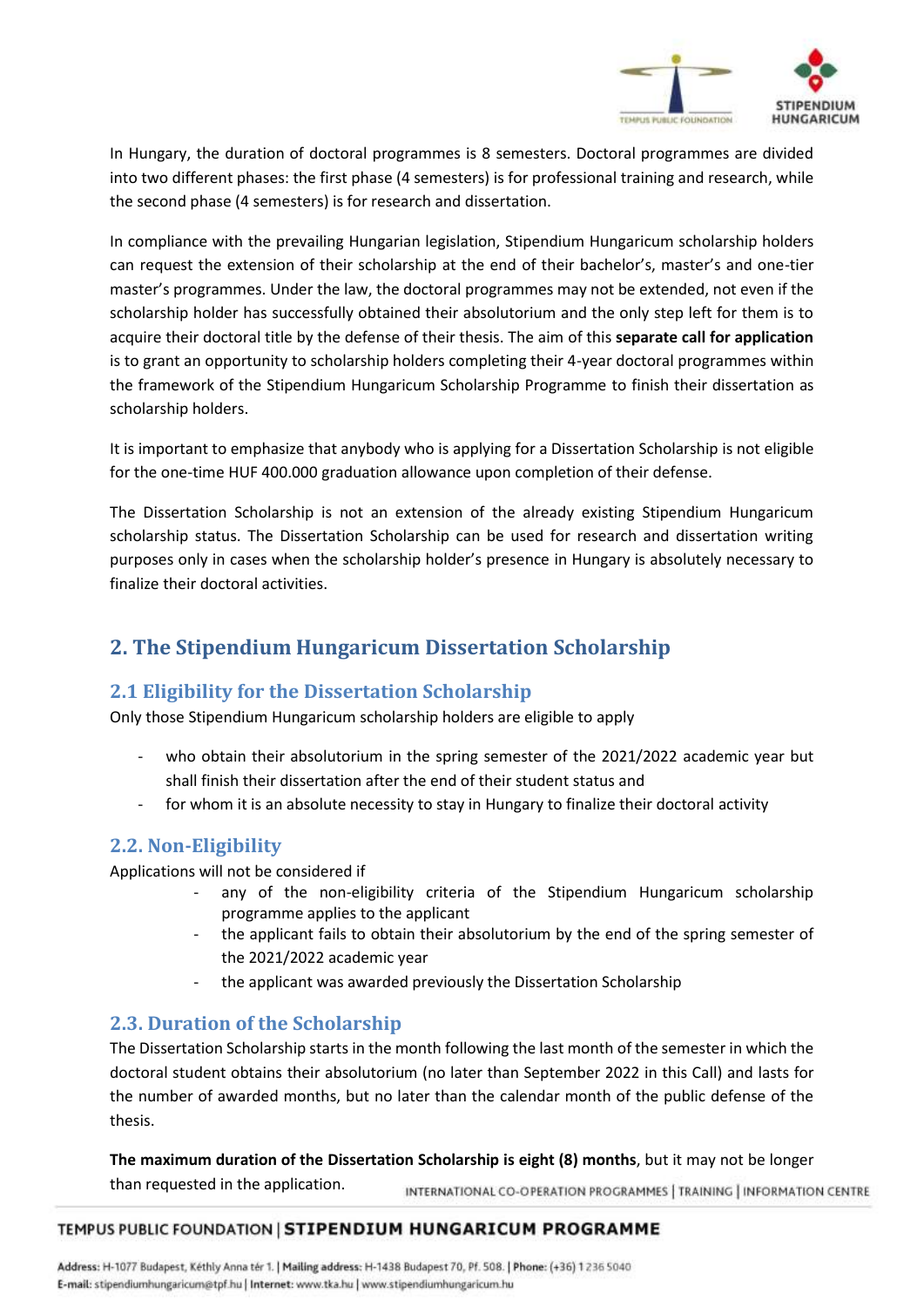

In Hungary, the duration of doctoral programmes is 8 semesters. Doctoral programmes are divided into two different phases: the first phase (4 semesters) is for professional training and research, while the second phase (4 semesters) is for research and dissertation.

In compliance with the prevailing Hungarian legislation, Stipendium Hungaricum scholarship holders can request the extension of their scholarship at the end of their bachelor's, master's and one-tier master's programmes. Under the law, the doctoral programmes may not be extended, not even if the scholarship holder has successfully obtained their absolutorium and the only step left for them is to acquire their doctoral title by the defense of their thesis. The aim of this **separate call for application** is to grant an opportunity to scholarship holders completing their 4-year doctoral programmes within the framework of the Stipendium Hungaricum Scholarship Programme to finish their dissertation as scholarship holders.

It is important to emphasize that anybody who is applying for a Dissertation Scholarship is not eligible for the one-time HUF 400.000 graduation allowance upon completion of their defense.

The Dissertation Scholarship is not an extension of the already existing Stipendium Hungaricum scholarship status. The Dissertation Scholarship can be used for research and dissertation writing purposes only in cases when the scholarship holder's presence in Hungary is absolutely necessary to finalize their doctoral activities.

## **2. The Stipendium Hungaricum Dissertation Scholarship**

### **2.1 Eligibility for the Dissertation Scholarship**

Only those Stipendium Hungaricum scholarship holders are eligible to apply

- who obtain their absolutorium in the spring semester of the 2021/2022 academic year but shall finish their dissertation after the end of their student status and
- for whom it is an absolute necessity to stay in Hungary to finalize their doctoral activity

### **2.2. Non-Eligibility**

Applications will not be considered if

- any of the non-eligibility criteria of the Stipendium Hungaricum scholarship programme applies to the applicant
- the applicant fails to obtain their absolutorium by the end of the spring semester of the 2021/2022 academic year
- the applicant was awarded previously the Dissertation Scholarship

### **2.3. Duration of the Scholarship**

The Dissertation Scholarship starts in the month following the last month of the semester in which the doctoral student obtains their absolutorium (no later than September 2022 in this Call) and lasts for the number of awarded months, but no later than the calendar month of the public defense of the thesis.

**The maximum duration of the Dissertation Scholarship is eight (8) months**, but it may not be longer

than requested in the application. INTERNATIONAL CO-OPERATION PROGRAMMES | TRAINING | INFORMATION CENTRE

#### TEMPUS PUBLIC FOUNDATION | STIPENDIUM HUNGARICUM PROGRAMME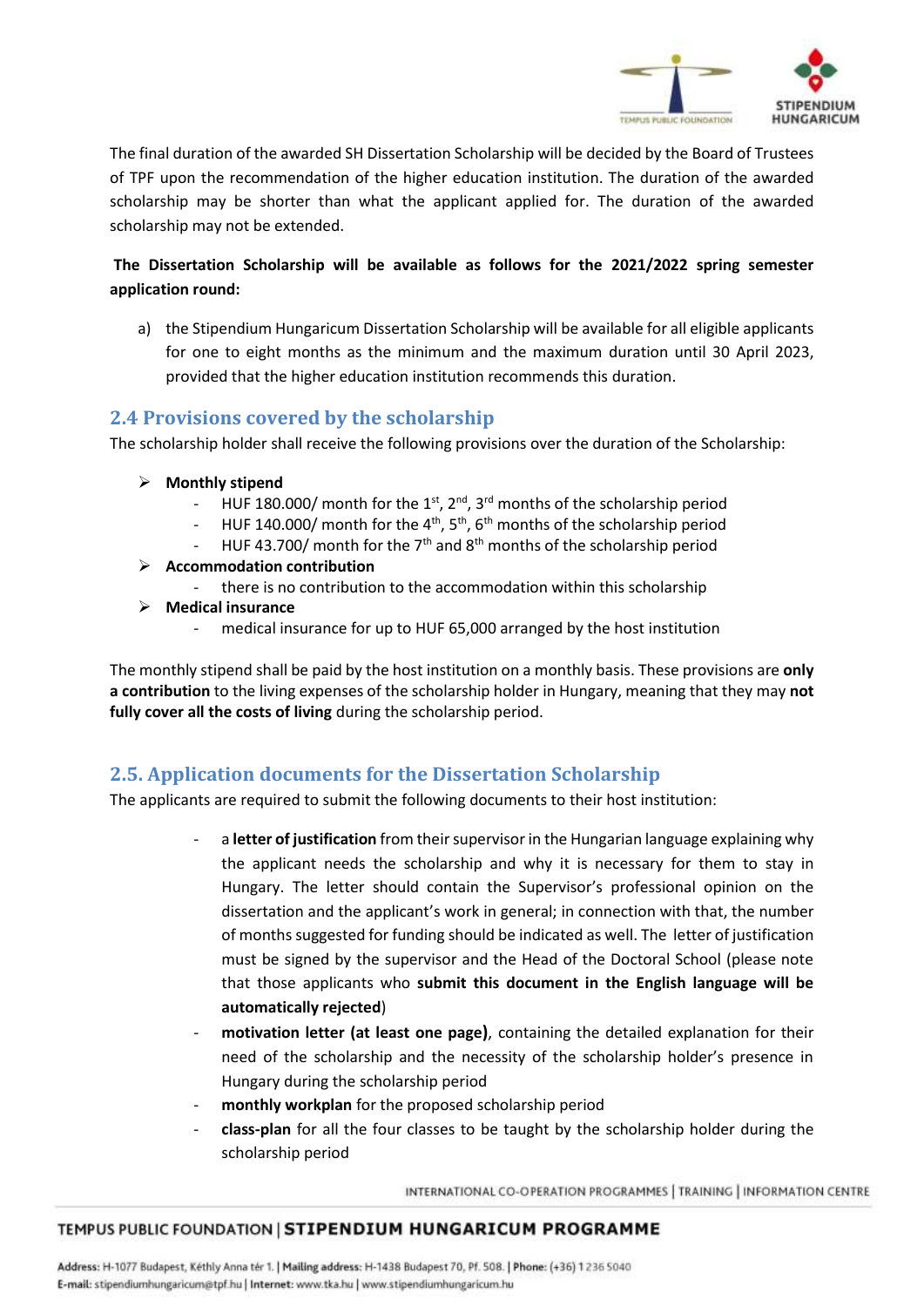

The final duration of the awarded SH Dissertation Scholarship will be decided by the Board of Trustees of TPF upon the recommendation of the higher education institution. The duration of the awarded scholarship may be shorter than what the applicant applied for. The duration of the awarded scholarship may not be extended.

### **The Dissertation Scholarship will be available as follows for the 2021/2022 spring semester application round:**

a) the Stipendium Hungaricum Dissertation Scholarship will be available for all eligible applicants for one to eight months as the minimum and the maximum duration until 30 April 2023, provided that the higher education institution recommends this duration.

### **2.4 Provisions covered by the scholarship**

The scholarship holder shall receive the following provisions over the duration of the Scholarship:

- **Monthly stipend**
	- HUF 180.000/ month for the 1<sup>st</sup>, 2<sup>nd</sup>, 3<sup>rd</sup> months of the scholarship period
	- HUF 140.000/ month for the 4<sup>th</sup>, 5<sup>th</sup>, 6<sup>th</sup> months of the scholarship period
	- HUF 43.700/ month for the 7<sup>th</sup> and 8<sup>th</sup> months of the scholarship period
- **Accommodation contribution**
	- there is no contribution to the accommodation within this scholarship
- **Medical insurance**
	- medical insurance for up to HUF 65,000 arranged by the host institution

The monthly stipend shall be paid by the host institution on a monthly basis. These provisions are **only a contribution** to the living expenses of the scholarship holder in Hungary, meaning that they may **not fully cover all the costs of living** during the scholarship period.

### **2.5. Application documents for the Dissertation Scholarship**

The applicants are required to submit the following documents to their host institution:

- a **letter of justification** from their supervisor in the Hungarian language explaining why the applicant needs the scholarship and why it is necessary for them to stay in Hungary. The letter should contain the Supervisor's professional opinion on the dissertation and the applicant's work in general; in connection with that, the number of months suggested for funding should be indicated as well. The letter of justification must be signed by the supervisor and the Head of the Doctoral School (please note that those applicants who **submit this document in the English language will be automatically rejected**)
- **motivation letter (at least one page)**, containing the detailed explanation for their need of the scholarship and the necessity of the scholarship holder's presence in Hungary during the scholarship period
- monthly workplan for the proposed scholarship period
- **class-plan** for all the four classes to be taught by the scholarship holder during the scholarship period

INTERNATIONAL CO-OPERATION PROGRAMMES | TRAINING | INFORMATION CENTRE

#### TEMPUS PUBLIC FOUNDATION | STIPENDIUM HUNGARICUM PROGRAMME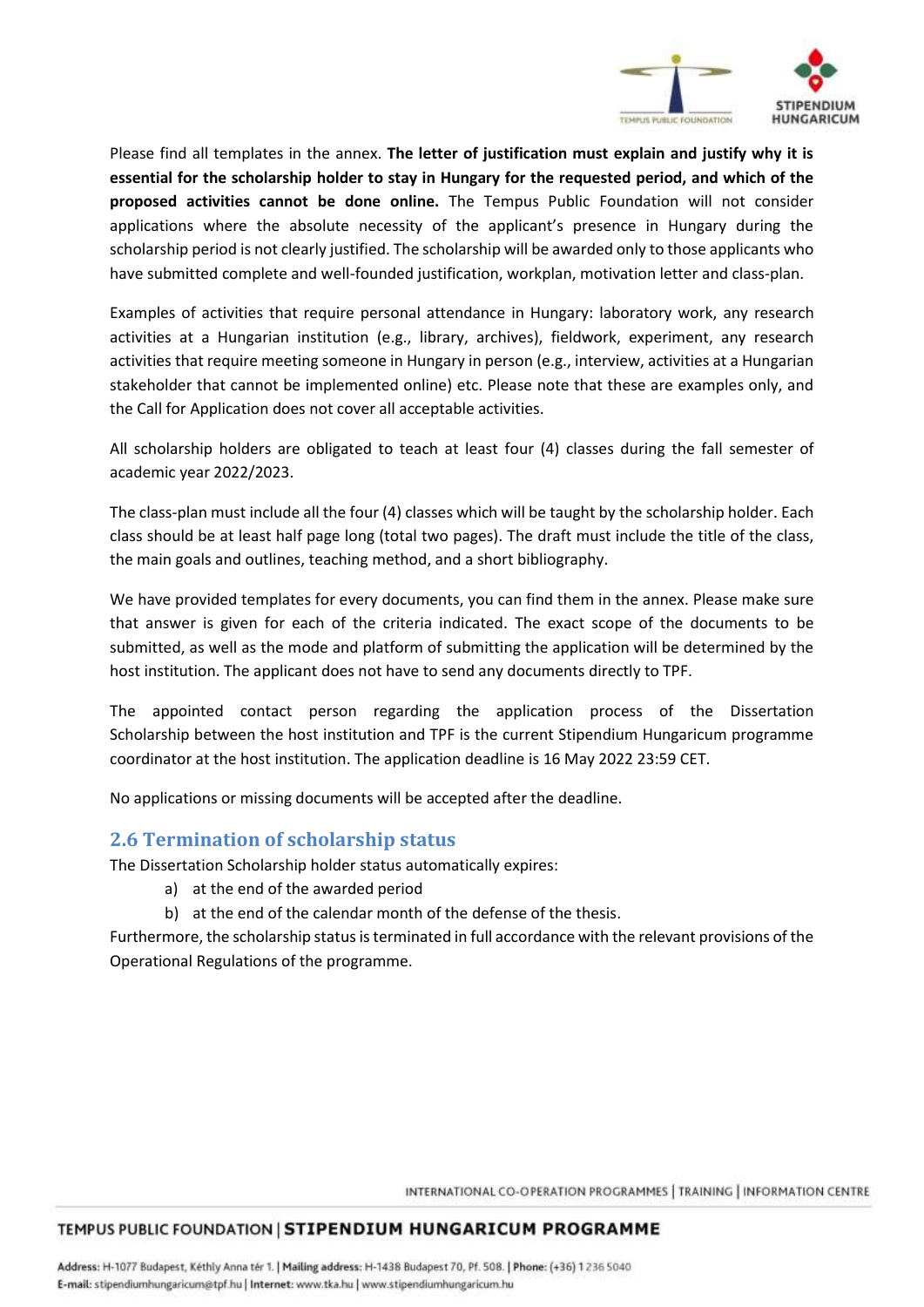

Please find all templates in the annex. **The letter of justification must explain and justify why it is essential for the scholarship holder to stay in Hungary for the requested period, and which of the proposed activities cannot be done online.** The Tempus Public Foundation will not consider applications where the absolute necessity of the applicant's presence in Hungary during the scholarship period is not clearly justified. The scholarship will be awarded only to those applicants who have submitted complete and well-founded justification, workplan, motivation letter and class-plan.

Examples of activities that require personal attendance in Hungary: laboratory work, any research activities at a Hungarian institution (e.g., library, archives), fieldwork, experiment, any research activities that require meeting someone in Hungary in person (e.g., interview, activities at a Hungarian stakeholder that cannot be implemented online) etc. Please note that these are examples only, and the Call for Application does not cover all acceptable activities.

All scholarship holders are obligated to teach at least four (4) classes during the fall semester of academic year 2022/2023.

The class-plan must include all the four (4) classes which will be taught by the scholarship holder. Each class should be at least half page long (total two pages). The draft must include the title of the class, the main goals and outlines, teaching method, and a short bibliography.

We have provided templates for every documents, you can find them in the annex. Please make sure that answer is given for each of the criteria indicated. The exact scope of the documents to be submitted, as well as the mode and platform of submitting the application will be determined by the host institution. The applicant does not have to send any documents directly to TPF.

The appointed contact person regarding the application process of the Dissertation Scholarship between the host institution and TPF is the current Stipendium Hungaricum programme coordinator at the host institution. The application deadline is 16 May 2022 23:59 CET.

No applications or missing documents will be accepted after the deadline.

### **2.6 Termination of scholarship status**

The Dissertation Scholarship holder status automatically expires:

- a) at the end of the awarded period
- b) at the end of the calendar month of the defense of the thesis.

Furthermore, the scholarship status is terminated in full accordance with the relevant provisions of the Operational Regulations of the programme.

INTERNATIONAL CO-OPERATION PROGRAMMES | TRAINING | INFORMATION CENTRE

#### TEMPUS PUBLIC FOUNDATION | STIPENDIUM HUNGARICUM PROGRAMME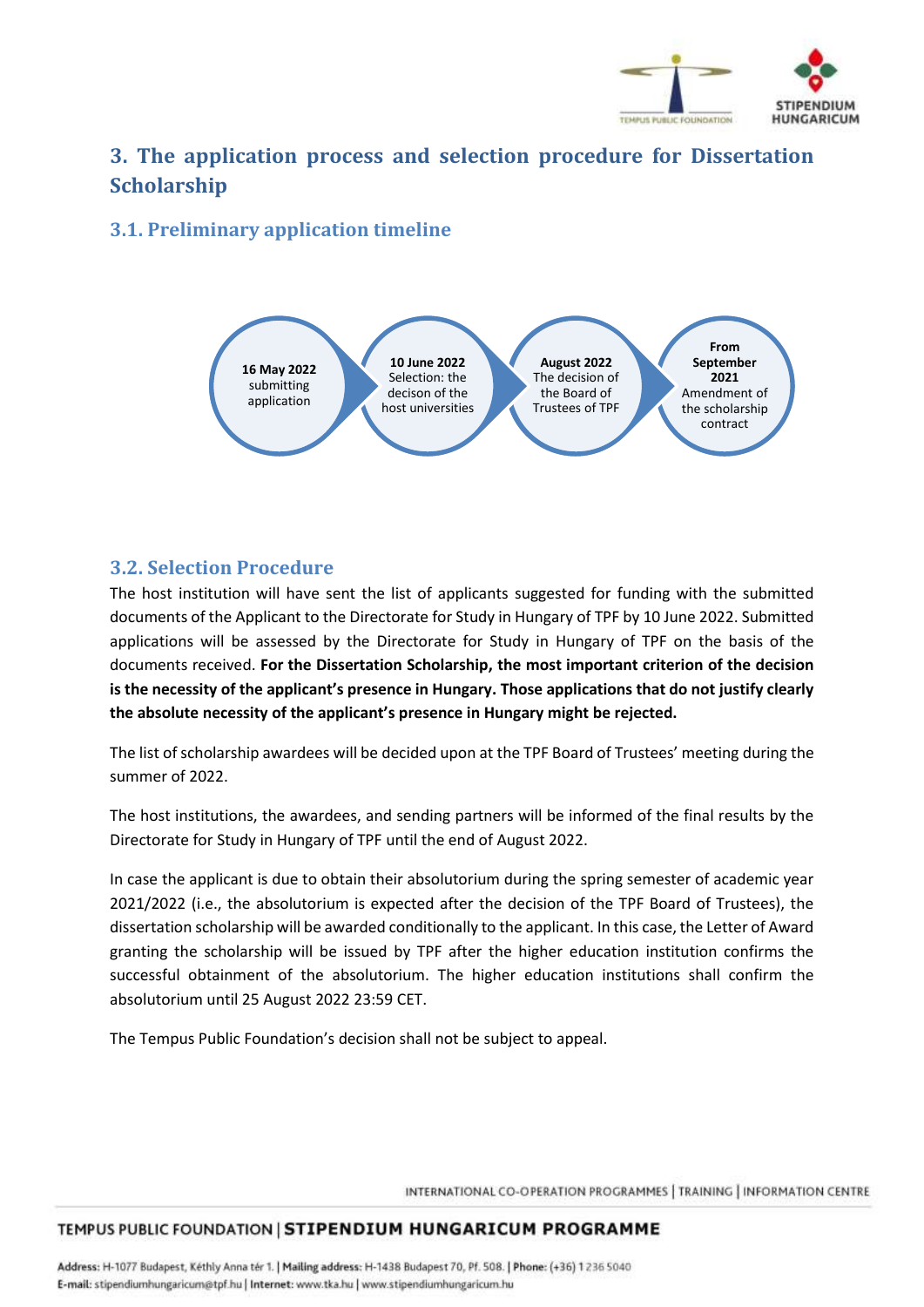

# **3. The application process and selection procedure for Dissertation Scholarship**

## **3.1. Preliminary application timeline**



### **3.2. Selection Procedure**

The host institution will have sent the list of applicants suggested for funding with the submitted documents of the Applicant to the Directorate for Study in Hungary of TPF by 10 June 2022. Submitted applications will be assessed by the Directorate for Study in Hungary of TPF on the basis of the documents received. **For the Dissertation Scholarship, the most important criterion of the decision is the necessity of the applicant's presence in Hungary. Those applications that do not justify clearly the absolute necessity of the applicant's presence in Hungary might be rejected.**

The list of scholarship awardees will be decided upon at the TPF Board of Trustees' meeting during the summer of 2022.

The host institutions, the awardees, and sending partners will be informed of the final results by the Directorate for Study in Hungary of TPF until the end of August 2022.

In case the applicant is due to obtain their absolutorium during the spring semester of academic year 2021/2022 (i.e., the absolutorium is expected after the decision of the TPF Board of Trustees), the dissertation scholarship will be awarded conditionally to the applicant. In this case, the Letter of Award granting the scholarship will be issued by TPF after the higher education institution confirms the successful obtainment of the absolutorium. The higher education institutions shall confirm the absolutorium until 25 August 2022 23:59 CET.

The Tempus Public Foundation's decision shall not be subject to appeal.

INTERNATIONAL CO-OPERATION PROGRAMMES | TRAINING | INFORMATION CENTRE

#### TEMPUS PUBLIC FOUNDATION | STIPENDIUM HUNGARICUM PROGRAMME